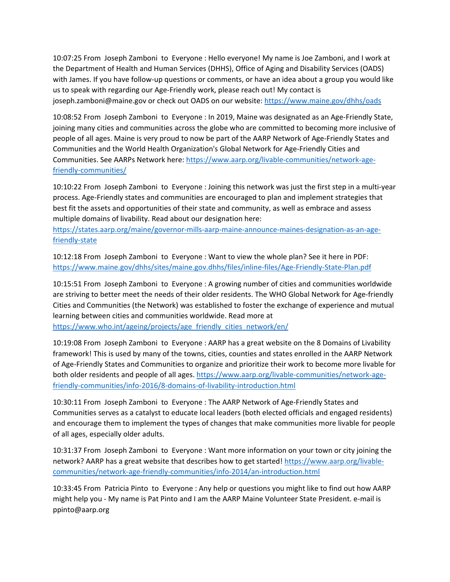10:07:25 From Joseph Zamboni to Everyone : Hello everyone! My name is Joe Zamboni, and I work at the Department of Health and Human Services (DHHS), Office of Aging and Disability Services (OADS) with James. If you have follow-up questions or comments, or have an idea about a group you would like us to speak with regarding our Age-Friendly work, please reach out! My contact is joseph.zamboni@maine.gov or check out OADS on our website:<https://www.maine.gov/dhhs/oads>

10:08:52 From Joseph Zamboni to Everyone : In 2019, Maine was designated as an Age-Friendly State, joining many cities and communities across the globe who are committed to becoming more inclusive of people of all ages. Maine is very proud to now be part of the AARP Network of Age-Friendly States and Communities and the World Health Organization's Global Network for Age-Friendly Cities and Communities. See AARPs Network here: [https://www.aarp.org/livable-communities/network-age](https://www.aarp.org/livable-communities/network-age-friendly-communities/)[friendly-communities/](https://www.aarp.org/livable-communities/network-age-friendly-communities/)

10:10:22 From Joseph Zamboni to Everyone : Joining this network was just the first step in a multi-year process. Age-Friendly states and communities are encouraged to plan and implement strategies that best fit the assets and opportunities of their state and community, as well as embrace and assess multiple domains of livability. Read about our designation here:

[https://states.aarp.org/maine/governor-mills-aarp-maine-announce-maines-designation-as-an-age](https://states.aarp.org/maine/governor-mills-aarp-maine-announce-maines-designation-as-an-age-friendly-state)[friendly-state](https://states.aarp.org/maine/governor-mills-aarp-maine-announce-maines-designation-as-an-age-friendly-state)

10:12:18 From Joseph Zamboni to Everyone : Want to view the whole plan? See it here in PDF: <https://www.maine.gov/dhhs/sites/maine.gov.dhhs/files/inline-files/Age-Friendly-State-Plan.pdf>

10:15:51 From Joseph Zamboni to Everyone : A growing number of cities and communities worldwide are striving to better meet the needs of their older residents. The WHO Global Network for Age-friendly Cities and Communities (the Network) was established to foster the exchange of experience and mutual learning between cities and communities worldwide. Read more at [https://www.who.int/ageing/projects/age\\_friendly\\_cities\\_network/en/](https://www.who.int/ageing/projects/age_friendly_cities_network/en/)

10:19:08 From Joseph Zamboni to Everyone : AARP has a great website on the 8 Domains of Livability framework! This is used by many of the towns, cities, counties and states enrolled in the AARP Network of Age-Friendly States and Communities to organize and prioritize their work to become more livable for both older residents and people of all ages[. https://www.aarp.org/livable-communities/network-age](https://www.aarp.org/livable-communities/network-age-friendly-communities/info-2016/8-domains-of-livability-introduction.html)[friendly-communities/info-2016/8-domains-of-livability-introduction.html](https://www.aarp.org/livable-communities/network-age-friendly-communities/info-2016/8-domains-of-livability-introduction.html)

10:30:11 From Joseph Zamboni to Everyone : The AARP Network of Age-Friendly States and Communities serves as a catalyst to educate local leaders (both elected officials and engaged residents) and encourage them to implement the types of changes that make communities more livable for people of all ages, especially older adults.

10:31:37 From Joseph Zamboni to Everyone : Want more information on your town or city joining the network? AARP has a great website that describes how to get started! [https://www.aarp.org/livable](https://www.aarp.org/livable-communities/network-age-friendly-communities/info-2014/an-introduction.html)[communities/network-age-friendly-communities/info-2014/an-introduction.html](https://www.aarp.org/livable-communities/network-age-friendly-communities/info-2014/an-introduction.html)

10:33:45 From Patricia Pinto to Everyone : Any help or questions you might like to find out how AARP might help you - My name is Pat Pinto and I am the AARP Maine Volunteer State President. e-mail is ppinto@aarp.org